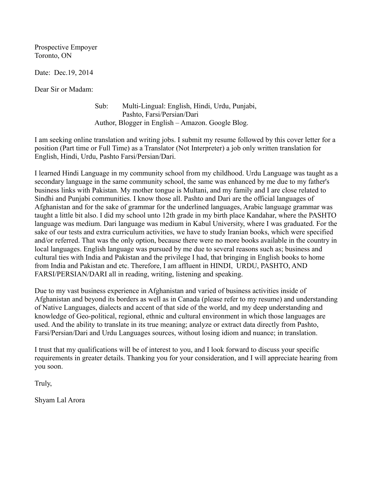Prospective Empoyer Toronto, ON

Date: Dec.19, 2014

Dear Sir or Madam:

 Sub: Multi-Lingual: English, Hindi, Urdu, Punjabi, Pashto, Farsi/Persian/Dari Author, Blogger in English – Amazon. Google Blog.

I am seeking online translation and writing jobs. I submit my resume followed by this cover letter for a position (Part time or Full Time) as a Translator (Not Interpreter) a job only written translation for English, Hindi, Urdu, Pashto Farsi/Persian/Dari.

I learned Hindi Language in my community school from my childhood. Urdu Language was taught as a secondary language in the same community school, the same was enhanced by me due to my father's business links with Pakistan. My mother tongue is Multani, and my family and I are close related to Sindhi and Punjabi communities. I know those all. Pashto and Dari are the official languages of Afghanistan and for the sake of grammar for the underlined languages, Arabic language grammar was taught a little bit also. I did my school unto 12th grade in my birth place Kandahar, where the PASHTO language was medium. Dari language was medium in Kabul University, where I was graduated. For the sake of our tests and extra curriculum activities, we have to study Iranian books, which were specified and/or referred. That was the only option, because there were no more books available in the country in local languages. English language was pursued by me due to several reasons such as; business and cultural ties with India and Pakistan and the privilege I had, that bringing in English books to home from India and Pakistan and etc. Therefore, I am affluent in HINDI, URDU, PASHTO, AND FARSI/PERSIAN/DARI all in reading, writing, listening and speaking.

Due to my vast business experience in Afghanistan and varied of business activities inside of Afghanistan and beyond its borders as well as in Canada (please refer to my resume) and understanding of Native Languages, dialects and accent of that side of the world, and my deep understanding and knowledge of Geo-political, regional, ethnic and cultural environment in which those languages are used. And the ability to translate in its true meaning; analyze or extract data directly from Pashto, Farsi/Persian/Dari and Urdu Languages sources, without losing idiom and nuance; in translation.

I trust that my qualifications will be of interest to you, and I look forward to discuss your specific requirements in greater details. Thanking you for your consideration, and I will appreciate hearing from you soon.

Truly,

Shyam Lal Arora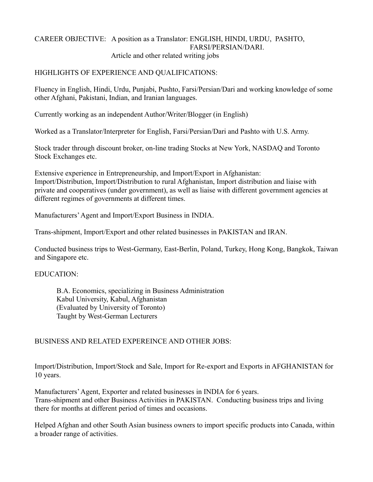### CAREER OBJECTIVE: A position as a Translator: ENGLISH, HINDI, URDU, PASHTO, FARSI/PERSIAN/DARI. Article and other related writing jobs

## HIGHLIGHTS OF EXPERIENCE AND QUALIFICATIONS:

Fluency in English, Hindi, Urdu, Punjabi, Pushto, Farsi/Persian/Dari and working knowledge of some other Afghani, Pakistani, Indian, and Iranian languages.

Currently working as an independent Author/Writer/Blogger (in English)

Worked as a Translator/Interpreter for English, Farsi/Persian/Dari and Pashto with U.S. Army.

Stock trader through discount broker, on-line trading Stocks at New York, NASDAQ and Toronto Stock Exchanges etc.

Extensive experience in Entrepreneurship, and Import/Export in Afghanistan: Import/Distribution, Import/Distribution to rural Afghanistan, Import distribution and liaise with private and cooperatives (under government), as well as liaise with different government agencies at different regimes of governments at different times.

Manufacturers' Agent and Import/Export Business in INDIA.

Trans-shipment, Import/Export and other related businesses in PAKISTAN and IRAN.

Conducted business trips to West-Germany, East-Berlin, Poland, Turkey, Hong Kong, Bangkok, Taiwan and Singapore etc.

### EDUCATION:

B.A. Economics, specializing in Business Administration Kabul University, Kabul, Afghanistan (Evaluated by University of Toronto) Taught by West-German Lecturers

# BUSINESS AND RELATED EXPEREINCE AND OTHER JOBS:

Import/Distribution, Import/Stock and Sale, Import for Re-export and Exports in AFGHANISTAN for 10 years.

Manufacturers' Agent, Exporter and related businesses in INDIA for 6 years. Trans-shipment and other Business Activities in PAKISTAN. Conducting business trips and living there for months at different period of times and occasions.

Helped Afghan and other South Asian business owners to import specific products into Canada, within a broader range of activities.